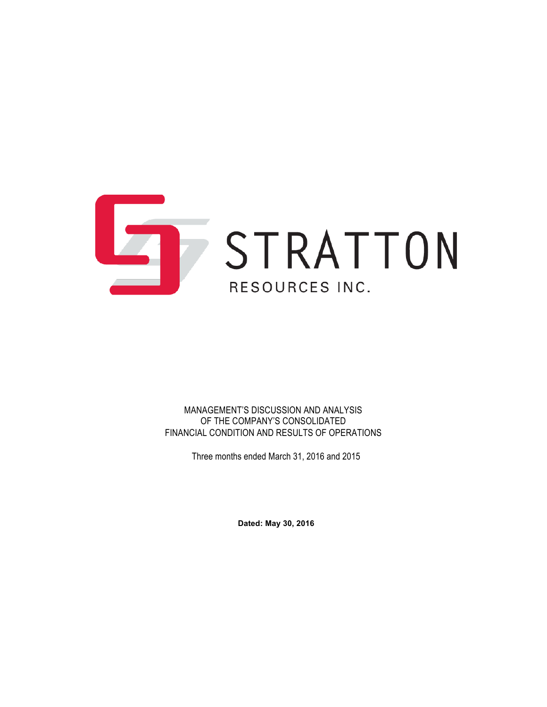

MANAGEMENT'S DISCUSSION AND ANALYSIS OF THE COMPANY'S CONSOLIDATED FINANCIAL CONDITION AND RESULTS OF OPERATIONS

Three months ended March 31, 2016 and 2015

**Dated: May 30, 2016**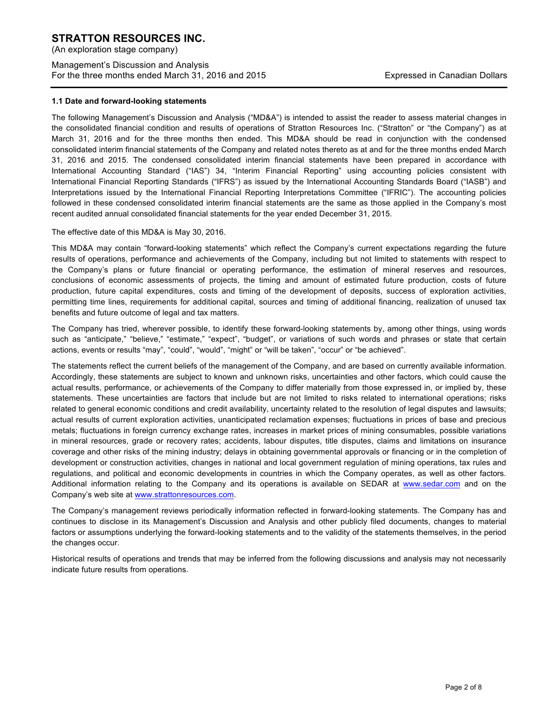(An exploration stage company)

# Management's Discussion and Analysis For the three months ended March 31, 2016 and 2015 Expressed in Canadian Dollars

## **1.1 Date and forward-looking statements**

The following Management's Discussion and Analysis ("MD&A") is intended to assist the reader to assess material changes in the consolidated financial condition and results of operations of Stratton Resources Inc. ("Stratton" or "the Company") as at March 31, 2016 and for the three months then ended. This MD&A should be read in conjunction with the condensed consolidated interim financial statements of the Company and related notes thereto as at and for the three months ended March 31, 2016 and 2015. The condensed consolidated interim financial statements have been prepared in accordance with International Accounting Standard ("IAS") 34, "Interim Financial Reporting" using accounting policies consistent with International Financial Reporting Standards ("IFRS") as issued by the International Accounting Standards Board ("IASB") and Interpretations issued by the International Financial Reporting Interpretations Committee ("IFRIC"). The accounting policies followed in these condensed consolidated interim financial statements are the same as those applied in the Company's most recent audited annual consolidated financial statements for the year ended December 31, 2015.

## The effective date of this MD&A is May 30, 2016.

This MD&A may contain "forward-looking statements" which reflect the Company's current expectations regarding the future results of operations, performance and achievements of the Company, including but not limited to statements with respect to the Company's plans or future financial or operating performance, the estimation of mineral reserves and resources, conclusions of economic assessments of projects, the timing and amount of estimated future production, costs of future production, future capital expenditures, costs and timing of the development of deposits, success of exploration activities, permitting time lines, requirements for additional capital, sources and timing of additional financing, realization of unused tax benefits and future outcome of legal and tax matters.

The Company has tried, wherever possible, to identify these forward-looking statements by, among other things, using words such as "anticipate," "believe," "estimate," "expect", "budget", or variations of such words and phrases or state that certain actions, events or results "may", "could", "would", "might" or "will be taken", "occur" or "be achieved".

The statements reflect the current beliefs of the management of the Company, and are based on currently available information. Accordingly, these statements are subject to known and unknown risks, uncertainties and other factors, which could cause the actual results, performance, or achievements of the Company to differ materially from those expressed in, or implied by, these statements. These uncertainties are factors that include but are not limited to risks related to international operations; risks related to general economic conditions and credit availability, uncertainty related to the resolution of legal disputes and lawsuits; actual results of current exploration activities, unanticipated reclamation expenses; fluctuations in prices of base and precious metals; fluctuations in foreign currency exchange rates, increases in market prices of mining consumables, possible variations in mineral resources, grade or recovery rates; accidents, labour disputes, title disputes, claims and limitations on insurance coverage and other risks of the mining industry; delays in obtaining governmental approvals or financing or in the completion of development or construction activities, changes in national and local government regulation of mining operations, tax rules and regulations, and political and economic developments in countries in which the Company operates, as well as other factors. Additional information relating to the Company and its operations is available on SEDAR at www.sedar.com and on the Company's web site at www.strattonresources.com.

The Company's management reviews periodically information reflected in forward-looking statements. The Company has and continues to disclose in its Management's Discussion and Analysis and other publicly filed documents, changes to material factors or assumptions underlying the forward-looking statements and to the validity of the statements themselves, in the period the changes occur.

Historical results of operations and trends that may be inferred from the following discussions and analysis may not necessarily indicate future results from operations.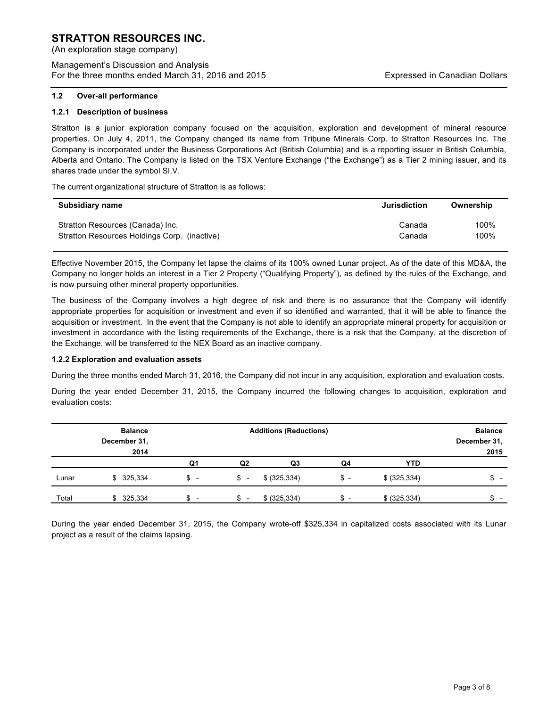(An exploration stage company)

Management's Discussion and Analysis For the three months ended March 31, 2016 and 2015 Expressed in Canadian Dollars

#### **1.2 Over-all performance**

#### **1.2.1 Description of business**

Stratton is a junior exploration company focused on the acquisition, exploration and development of mineral resource properties. On July 4, 2011, the Company changed its name from Tribune Minerals Corp. to Stratton Resources Inc. The Company is incorporated under the Business Corporations Act (British Columbia) and is a reporting issuer in British Columbia, Alberta and Ontario. The Company is listed on the TSX Venture Exchange ("the Exchange") as a Tier 2 mining issuer, and its shares trade under the symbol SI.V.

The current organizational structure of Stratton is as follows:

| Subsidiary name                              | Jurisdiction | Ownership |
|----------------------------------------------|--------------|-----------|
| Stratton Resources (Canada) Inc.             | Canada       | 100%      |
| Stratton Resources Holdings Corp. (inactive) | Canada       | 100%      |

Effective November 2015, the Company let lapse the claims of its 100% owned Lunar project. As of the date of this MD&A, the Company no longer holds an interest in a Tier 2 Property ("Qualifying Property"), as defined by the rules of the Exchange, and is now pursuing other mineral property opportunities.

The business of the Company involves a high degree of risk and there is no assurance that the Company will identify appropriate properties for acquisition or investment and even if so identified and warranted, that it will be able to finance the acquisition or investment. In the event that the Company is not able to identify an appropriate mineral property for acquisition or investment in accordance with the listing requirements of the Exchange, there is a risk that the Company, at the discretion of the Exchange, will be transferred to the NEX Board as an inactive company.

#### **1.2.2 Exploration and evaluation assets**

During the three months ended March 31, 2016, the Company did not incur in any acquisition, exploration and evaluation costs.

During the year ended December 31, 2015, the Company incurred the following changes to acquisition, exploration and evaluation costs:

|       | <b>Balance</b> | <b>Additions (Reductions)</b>  |                                |                | <b>Balance</b> |               |              |
|-------|----------------|--------------------------------|--------------------------------|----------------|----------------|---------------|--------------|
|       | December 31,   |                                |                                |                |                |               | December 31, |
|       | 2014           |                                |                                |                |                |               | 2015         |
|       |                | Q1                             | Q <sub>2</sub>                 | Q <sub>3</sub> | Q4             | <b>YTD</b>    |              |
| Lunar | \$325,334      | \$ -                           | $s -$                          | \$ (325, 334)  | $s -$          | \$ (325, 334) | \$ -         |
| Total | \$325,334      | \$<br>$\overline{\phantom{0}}$ | \$<br>$\overline{\phantom{0}}$ | \$ (325, 334)  | \$ -           | \$ (325, 334) | \$           |

During the year ended December 31, 2015, the Company wrote-off \$325,334 in capitalized costs associated with its Lunar project as a result of the claims lapsing.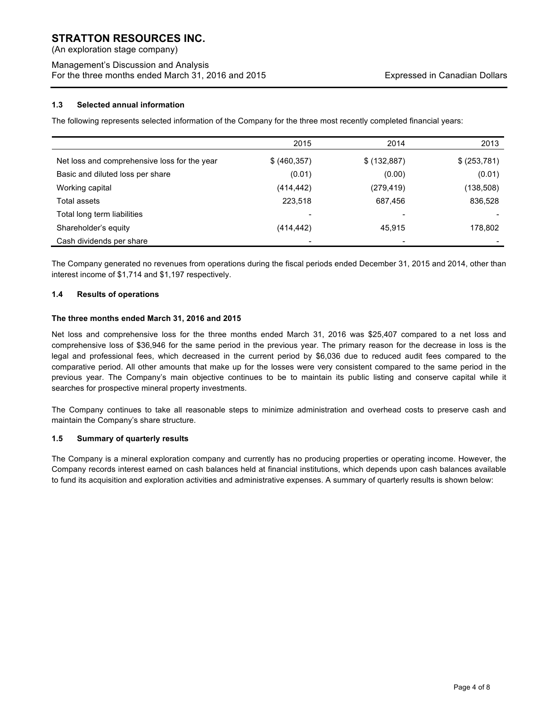(An exploration stage company)

# Management's Discussion and Analysis For the three months ended March 31, 2016 and 2015 Expressed in Canadian Dollars

## **1.3 Selected annual information**

The following represents selected information of the Company for the three most recently completed financial years:

|                                              | 2015                     | 2014          | 2013         |
|----------------------------------------------|--------------------------|---------------|--------------|
| Net loss and comprehensive loss for the year | \$ (460, 357)            | \$ (132, 887) | \$ (253,781) |
| Basic and diluted loss per share             | (0.01)                   | (0.00)        | (0.01)       |
| Working capital                              | (414, 442)               | (279, 419)    | (138,508)    |
| Total assets                                 | 223,518                  | 687,456       | 836,528      |
| Total long term liabilities                  | $\overline{\phantom{0}}$ |               |              |
| Shareholder's equity                         | (414, 442)               | 45.915        | 178,802      |
| Cash dividends per share                     |                          |               |              |

The Company generated no revenues from operations during the fiscal periods ended December 31, 2015 and 2014, other than interest income of \$1,714 and \$1,197 respectively.

## **1.4 Results of operations**

## **The three months ended March 31, 2016 and 2015**

Net loss and comprehensive loss for the three months ended March 31, 2016 was \$25,407 compared to a net loss and comprehensive loss of \$36,946 for the same period in the previous year. The primary reason for the decrease in loss is the legal and professional fees, which decreased in the current period by \$6,036 due to reduced audit fees compared to the comparative period. All other amounts that make up for the losses were very consistent compared to the same period in the previous year. The Company's main objective continues to be to maintain its public listing and conserve capital while it searches for prospective mineral property investments.

The Company continues to take all reasonable steps to minimize administration and overhead costs to preserve cash and maintain the Company's share structure.

## **1.5 Summary of quarterly results**

The Company is a mineral exploration company and currently has no producing properties or operating income. However, the Company records interest earned on cash balances held at financial institutions, which depends upon cash balances available to fund its acquisition and exploration activities and administrative expenses. A summary of quarterly results is shown below: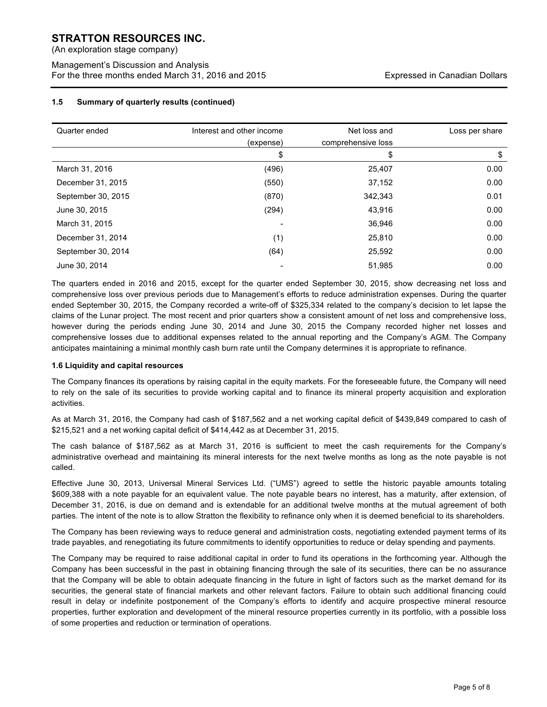(An exploration stage company)

Management's Discussion and Analysis For the three months ended March 31, 2016 and 2015 Expressed in Canadian Dollars

## **1.5 Summary of quarterly results (continued)**

| Quarter ended      | Interest and other income | Net loss and       | Loss per share |
|--------------------|---------------------------|--------------------|----------------|
|                    | (expense)                 | comprehensive loss |                |
|                    | \$                        | \$                 | \$             |
| March 31, 2016     | (496)                     | 25,407             | 0.00           |
| December 31, 2015  | (550)                     | 37,152             | 0.00           |
| September 30, 2015 | (870)                     | 342.343            | 0.01           |
| June 30, 2015      | (294)                     | 43,916             | 0.00           |
| March 31, 2015     |                           | 36,946             | 0.00           |
| December 31, 2014  | (1)                       | 25,810             | 0.00           |
| September 30, 2014 | (64)                      | 25,592             | 0.00           |
| June 30, 2014      |                           | 51,985             | 0.00           |

The quarters ended in 2016 and 2015, except for the quarter ended September 30, 2015, show decreasing net loss and comprehensive loss over previous periods due to Management's efforts to reduce administration expenses. During the quarter ended September 30, 2015, the Company recorded a write-off of \$325,334 related to the company's decision to let lapse the claims of the Lunar project. The most recent and prior quarters show a consistent amount of net loss and comprehensive loss, however during the periods ending June 30, 2014 and June 30, 2015 the Company recorded higher net losses and comprehensive losses due to additional expenses related to the annual reporting and the Company's AGM. The Company anticipates maintaining a minimal monthly cash burn rate until the Company determines it is appropriate to refinance.

# **1.6 Liquidity and capital resources**

The Company finances its operations by raising capital in the equity markets. For the foreseeable future, the Company will need to rely on the sale of its securities to provide working capital and to finance its mineral property acquisition and exploration activities.

As at March 31, 2016, the Company had cash of \$187,562 and a net working capital deficit of \$439,849 compared to cash of \$215,521 and a net working capital deficit of \$414,442 as at December 31, 2015.

The cash balance of \$187,562 as at March 31, 2016 is sufficient to meet the cash requirements for the Company's administrative overhead and maintaining its mineral interests for the next twelve months as long as the note payable is not called.

Effective June 30, 2013, Universal Mineral Services Ltd. ("UMS") agreed to settle the historic payable amounts totaling \$609,388 with a note payable for an equivalent value. The note payable bears no interest, has a maturity, after extension, of December 31, 2016, is due on demand and is extendable for an additional twelve months at the mutual agreement of both parties. The intent of the note is to allow Stratton the flexibility to refinance only when it is deemed beneficial to its shareholders.

The Company has been reviewing ways to reduce general and administration costs, negotiating extended payment terms of its trade payables, and renegotiating its future commitments to identify opportunities to reduce or delay spending and payments.

The Company may be required to raise additional capital in order to fund its operations in the forthcoming year. Although the Company has been successful in the past in obtaining financing through the sale of its securities, there can be no assurance that the Company will be able to obtain adequate financing in the future in light of factors such as the market demand for its securities, the general state of financial markets and other relevant factors. Failure to obtain such additional financing could result in delay or indefinite postponement of the Company's efforts to identify and acquire prospective mineral resource properties, further exploration and development of the mineral resource properties currently in its portfolio, with a possible loss of some properties and reduction or termination of operations.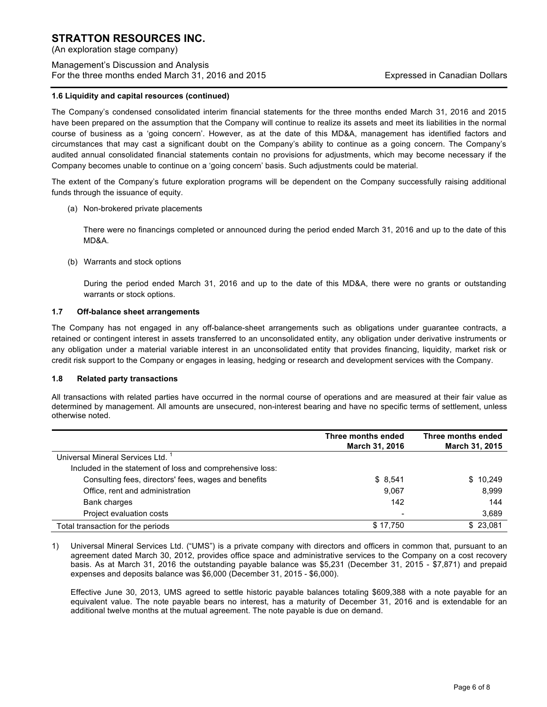(An exploration stage company)

# Management's Discussion and Analysis For the three months ended March 31, 2016 and 2015 Expressed in Canadian Dollars

## **1.6 Liquidity and capital resources (continued)**

The Company's condensed consolidated interim financial statements for the three months ended March 31, 2016 and 2015 have been prepared on the assumption that the Company will continue to realize its assets and meet its liabilities in the normal course of business as a 'going concern'. However, as at the date of this MD&A, management has identified factors and circumstances that may cast a significant doubt on the Company's ability to continue as a going concern. The Company's audited annual consolidated financial statements contain no provisions for adjustments, which may become necessary if the Company becomes unable to continue on a 'going concern' basis. Such adjustments could be material.

The extent of the Company's future exploration programs will be dependent on the Company successfully raising additional funds through the issuance of equity.

(a) Non-brokered private placements

There were no financings completed or announced during the period ended March 31, 2016 and up to the date of this MD&A.

(b) Warrants and stock options

During the period ended March 31, 2016 and up to the date of this MD&A, there were no grants or outstanding warrants or stock options.

## **1.7 Off-balance sheet arrangements**

The Company has not engaged in any off-balance-sheet arrangements such as obligations under guarantee contracts, a retained or contingent interest in assets transferred to an unconsolidated entity, any obligation under derivative instruments or any obligation under a material variable interest in an unconsolidated entity that provides financing, liquidity, market risk or credit risk support to the Company or engages in leasing, hedging or research and development services with the Company.

## **1.8 Related party transactions**

All transactions with related parties have occurred in the normal course of operations and are measured at their fair value as determined by management. All amounts are unsecured, non-interest bearing and have no specific terms of settlement, unless otherwise noted.

|                                                           | Three months ended<br>March 31, 2016 | Three months ended<br><b>March 31, 2015</b> |
|-----------------------------------------------------------|--------------------------------------|---------------------------------------------|
| Universal Mineral Services Ltd.                           |                                      |                                             |
| Included in the statement of loss and comprehensive loss: |                                      |                                             |
| Consulting fees, directors' fees, wages and benefits      | \$8,541                              | \$10,249                                    |
| Office, rent and administration                           | 9,067                                | 8,999                                       |
| Bank charges                                              | 142                                  | 144                                         |
| Project evaluation costs                                  | $\overline{\phantom{0}}$             | 3,689                                       |
| Total transaction for the periods                         | \$17.750                             | \$23.081                                    |

1) Universal Mineral Services Ltd. ("UMS") is a private company with directors and officers in common that, pursuant to an agreement dated March 30, 2012, provides office space and administrative services to the Company on a cost recovery basis. As at March 31, 2016 the outstanding payable balance was \$5,231 (December 31, 2015 - \$7,871) and prepaid expenses and deposits balance was \$6,000 (December 31, 2015 - \$6,000).

Effective June 30, 2013, UMS agreed to settle historic payable balances totaling \$609,388 with a note payable for an equivalent value. The note payable bears no interest, has a maturity of December 31, 2016 and is extendable for an additional twelve months at the mutual agreement. The note payable is due on demand.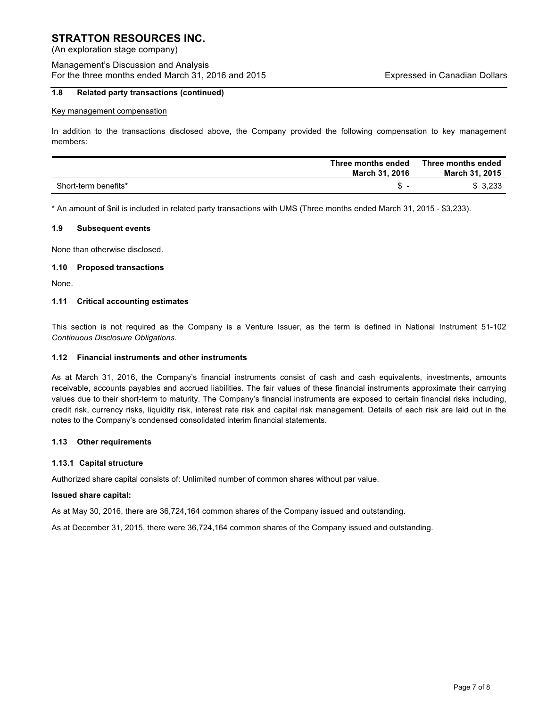(An exploration stage company)

# Management's Discussion and Analysis For the three months ended March 31, 2016 and 2015 Expressed in Canadian Dollars

## **1.8 Related party transactions (continued)**

#### Key management compensation

In addition to the transactions disclosed above, the Company provided the following compensation to key management members:

|                      | Three months ended<br>March 31, 2016 | Three months ended<br><b>March 31, 2015</b> |
|----------------------|--------------------------------------|---------------------------------------------|
| Short-term benefits* |                                      | \$3,233                                     |

\* An amount of \$nil is included in related party transactions with UMS (Three months ended March 31, 2015 - \$3,233).

#### **1.9 Subsequent events**

None than otherwise disclosed.

## **1.10 Proposed transactions**

None.

## **1.11 Critical accounting estimates**

This section is not required as the Company is a Venture Issuer, as the term is defined in National Instrument 51-102 *Continuous Disclosure Obligations*.

## **1.12 Financial instruments and other instruments**

As at March 31, 2016, the Company's financial instruments consist of cash and cash equivalents, investments, amounts receivable, accounts payables and accrued liabilities. The fair values of these financial instruments approximate their carrying values due to their short-term to maturity. The Company's financial instruments are exposed to certain financial risks including, credit risk, currency risks, liquidity risk, interest rate risk and capital risk management. Details of each risk are laid out in the notes to the Company's condensed consolidated interim financial statements.

## **1.13 Other requirements**

## **1.13.1 Capital structure**

Authorized share capital consists of: Unlimited number of common shares without par value.

#### **Issued share capital:**

As at May 30, 2016, there are 36,724,164 common shares of the Company issued and outstanding.

As at December 31, 2015, there were 36,724,164 common shares of the Company issued and outstanding.